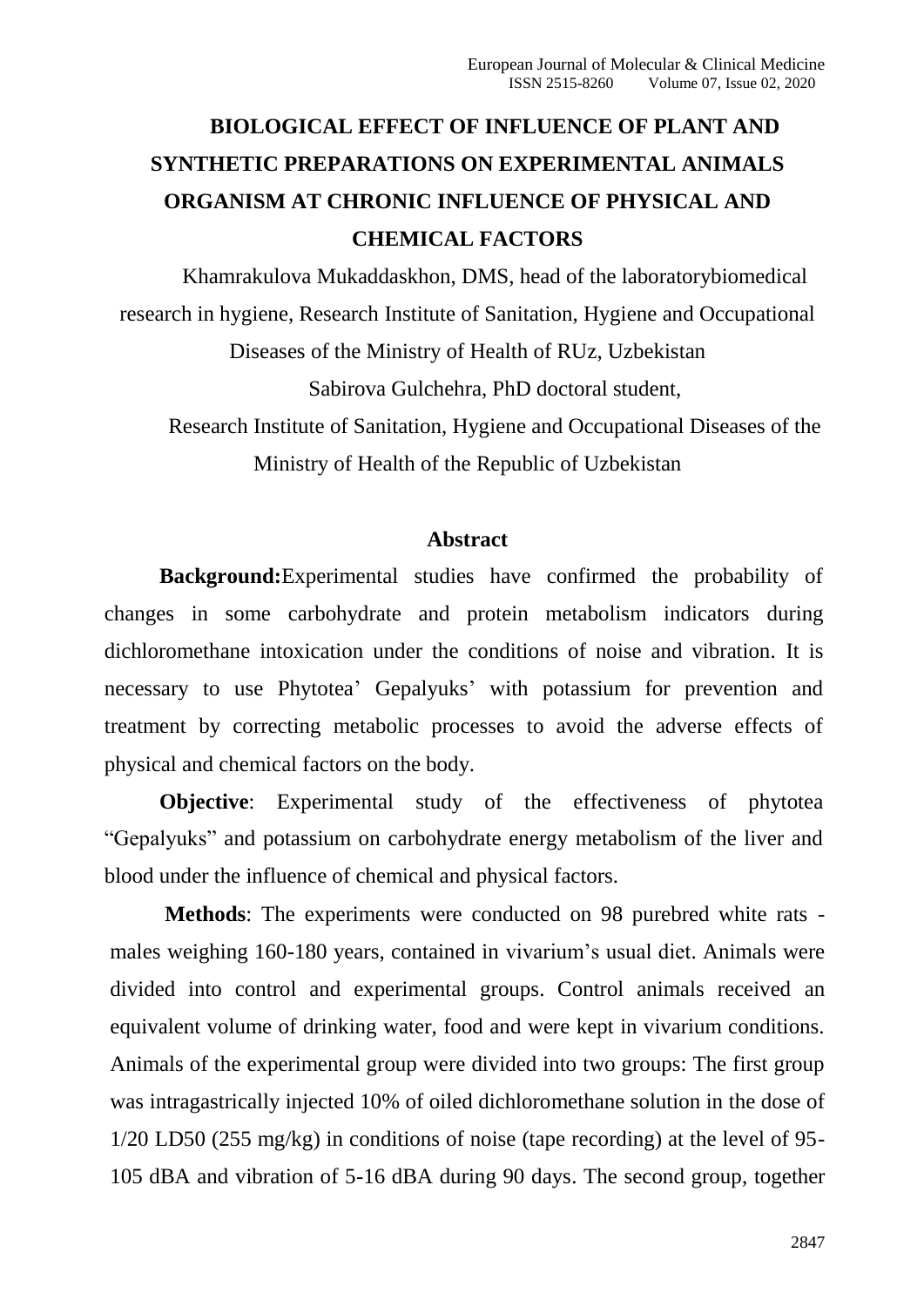# **BIOLOGICAL EFFECT OF INFLUENCE OF PLANT AND SYNTHETIC PREPARATIONS ON EXPERIMENTAL ANIMALS ORGANISM AT CHRONIC INFLUENCE OF PHYSICAL AND CHEMICAL FACTORS**

Khamrakulova Mukaddaskhon, DMS, head of the laboratorybiomedical research in hygiene, Research Institute of Sanitation, Hygiene and Occupational Diseases of the Ministry of Health of RUz, Uzbekistan Sabirova Gulchehra, PhD doctoral student, Research Institute of Sanitation, Hygiene and Occupational Diseases of the

Ministry of Health of the Republic of Uzbekistan

#### **Abstract**

**Background:**Experimental studies have confirmed the probability of changes in some carbohydrate and protein metabolism indicators during dichloromethane intoxication under the conditions of noise and vibration. It is necessary to use Phytotea' Gepalyuks' with potassium for prevention and treatment by correcting metabolic processes to avoid the adverse effects of physical and chemical factors on the body.

**Objective**: Experimental study of the effectiveness of phytotea "Gepalyuks" and potassium on carbohydrate energy metabolism of the liver and blood under the influence of chemical and physical factors.

**Methods**: The experiments were conducted on 98 purebred white rats males weighing 160-180 years, contained in vivarium's usual diet. Animals were divided into control and experimental groups. Control animals received an equivalent volume of drinking water, food and were kept in vivarium conditions. Animals of the experimental group were divided into two groups: The first group was intragastrically injected 10% of oiled dichloromethane solution in the dose of 1/20 LD50 (255 mg/kg) in conditions of noise (tape recording) at the level of 95- 105 dBA and vibration of 5-16 dBA during 90 days. The second group, together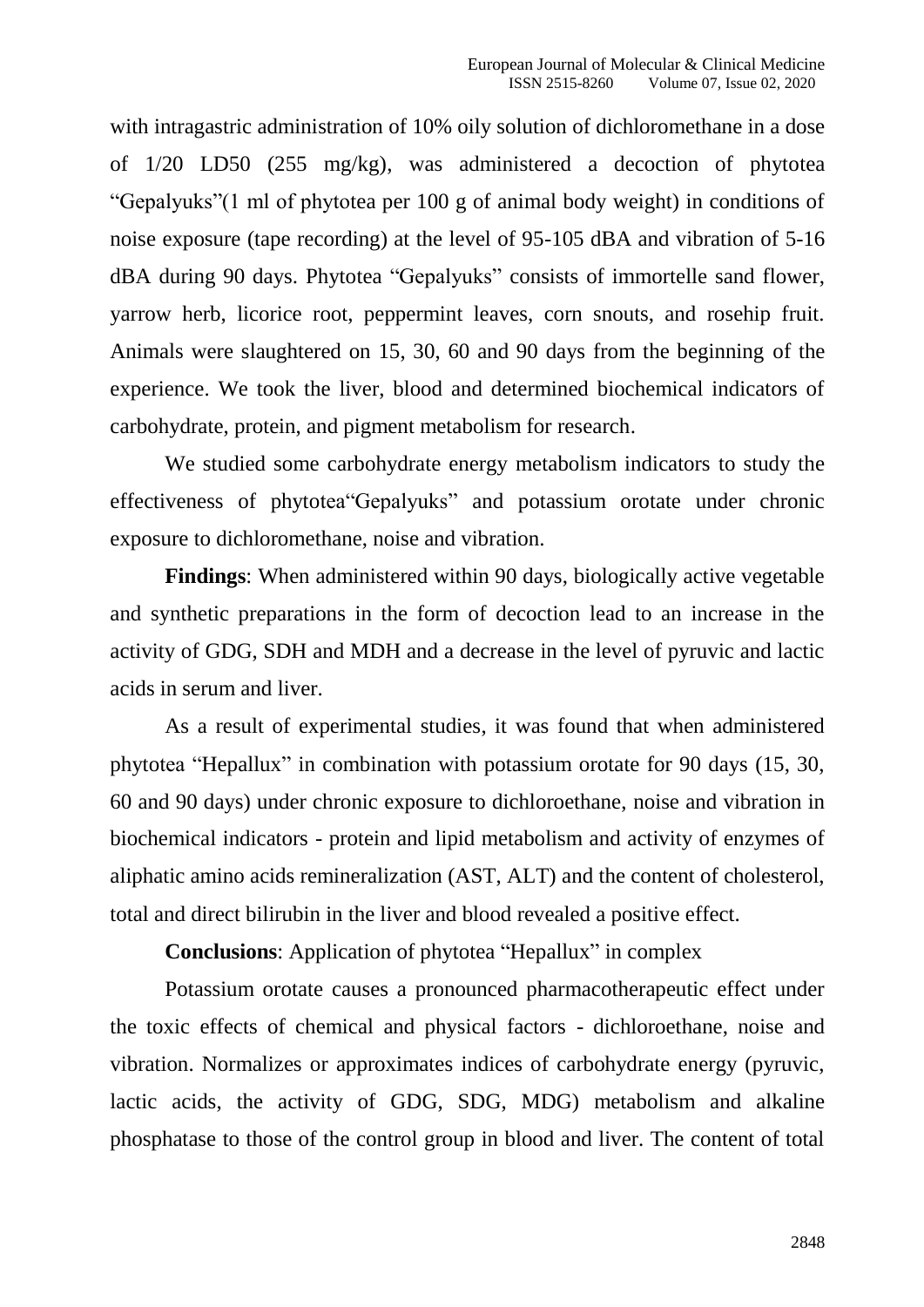with intragastric administration of 10% oily solution of dichloromethane in a dose of 1/20 LD50 (255 mg/kg), was administered a decoction of phytotea "Gepalyuks"(1 ml of phytotea per 100 g of animal body weight) in conditions of noise exposure (tape recording) at the level of 95-105 dBA and vibration of 5-16 dBA during 90 days. Phytotea "Gepalyuks" consists of immortelle sand flower, yarrow herb, licorice root, peppermint leaves, corn snouts, and rosehip fruit. Animals were slaughtered on 15, 30, 60 and 90 days from the beginning of the experience. We took the liver, blood and determined biochemical indicators of carbohydrate, protein, and pigment metabolism for research.

We studied some carbohydrate energy metabolism indicators to study the effectiveness of phytotea"Gepalyuks" and potassium orotate under chronic exposure to dichloromethane, noise and vibration.

**Findings**: When administered within 90 days, biologically active vegetable and synthetic preparations in the form of decoction lead to an increase in the activity of GDG, SDH and MDH and a decrease in the level of pyruvic and lactic acids in serum and liver.

As a result of experimental studies, it was found that when administered phytotea "Hepallux" in combination with potassium orotate for 90 days (15, 30, 60 and 90 days) under chronic exposure to dichloroethane, noise and vibration in biochemical indicators - protein and lipid metabolism and activity of enzymes of aliphatic amino acids remineralization (AST, ALT) and the content of cholesterol, total and direct bilirubin in the liver and blood revealed a positive effect.

**Conclusions**: Application of phytotea "Hepallux" in complex

Potassium orotate causes a pronounced pharmacotherapeutic effect under the toxic effects of chemical and physical factors - dichloroethane, noise and vibration. Normalizes or approximates indices of carbohydrate energy (pyruvic, lactic acids, the activity of GDG, SDG, MDG) metabolism and alkaline phosphatase to those of the control group in blood and liver. The content of total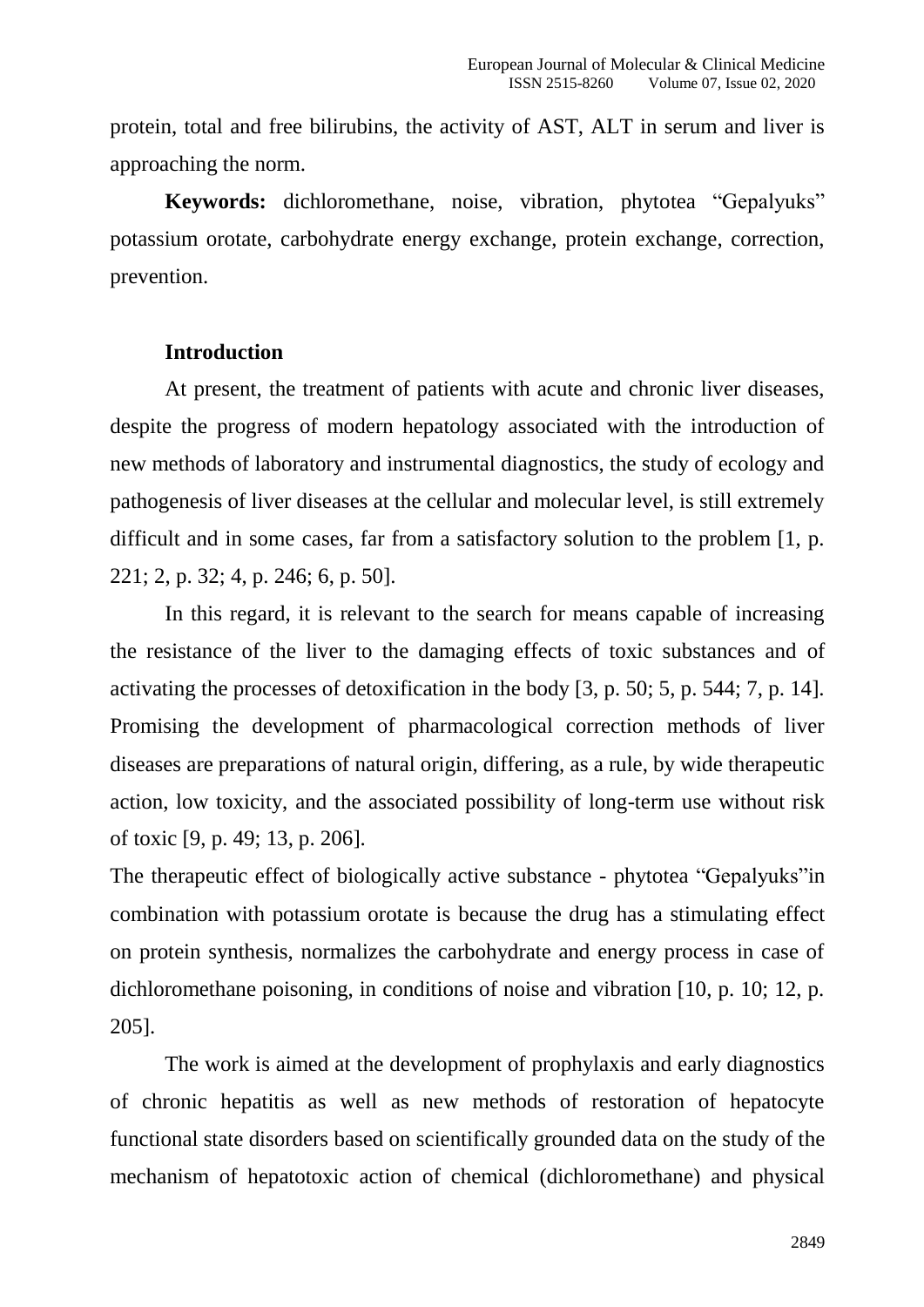protein, total and free bilirubins, the activity of AST, ALT in serum and liver is approaching the norm.

**Keywords:** dichloromethane, noise, vibration, phytotea "Gepalyuks" potassium orotate, carbohydrate energy exchange, protein exchange, correction, prevention.

#### **Introduction**

At present, the treatment of patients with acute and chronic liver diseases, despite the progress of modern hepatology associated with the introduction of new methods of laboratory and instrumental diagnostics, the study of ecology and pathogenesis of liver diseases at the cellular and molecular level, is still extremely difficult and in some cases, far from a satisfactory solution to the problem [1, p. 221; 2, p. 32; 4, p. 246; 6, p. 50].

In this regard, it is relevant to the search for means capable of increasing the resistance of the liver to the damaging effects of toxic substances and of activating the processes of detoxification in the body [3, p. 50; 5, p. 544; 7, p. 14]. Promising the development of pharmacological correction methods of liver diseases are preparations of natural origin, differing, as a rule, by wide therapeutic action, low toxicity, and the associated possibility of long-term use without risk of toxic [9, p. 49; 13, p. 206].

The therapeutic effect of biologically active substance - phytotea "Gepalyuks"in combination with potassium orotate is because the drug has a stimulating effect on protein synthesis, normalizes the carbohydrate and energy process in case of dichloromethane poisoning, in conditions of noise and vibration [10, p. 10; 12, p. 205].

The work is aimed at the development of prophylaxis and early diagnostics of chronic hepatitis as well as new methods of restoration of hepatocyte functional state disorders based on scientifically grounded data on the study of the mechanism of hepatotoxic action of chemical (dichloromethane) and physical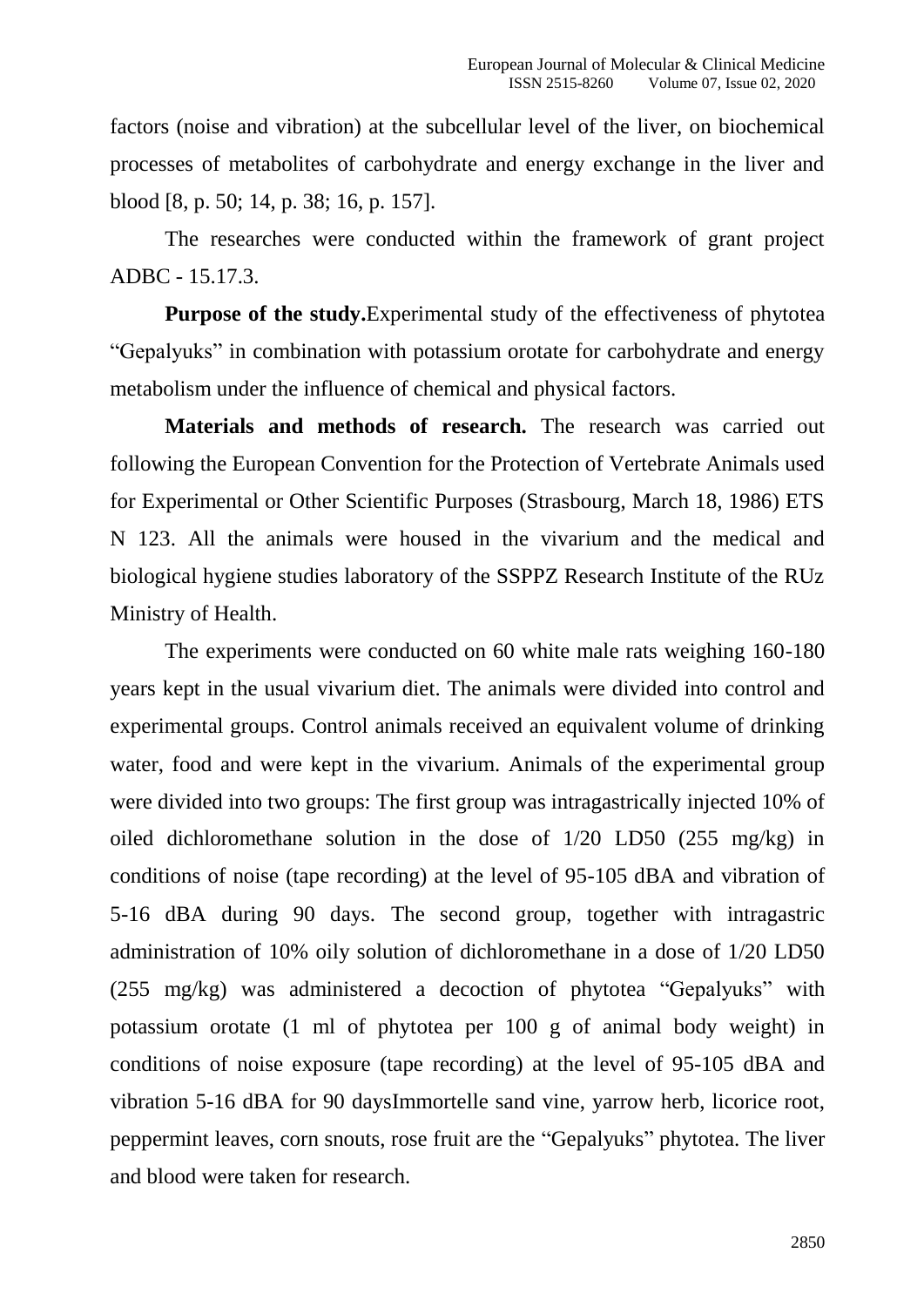factors (noise and vibration) at the subcellular level of the liver, on biochemical processes of metabolites of carbohydrate and energy exchange in the liver and blood [8, p. 50; 14, p. 38; 16, p. 157].

The researches were conducted within the framework of grant project ADBC - 15.17.3.

**Purpose of the study.**Experimental study of the effectiveness of phytotea "Gepalyuks" in combination with potassium orotate for carbohydrate and energy metabolism under the influence of chemical and physical factors.

**Materials and methods of research.** The research was carried out following the European Convention for the Protection of Vertebrate Animals used for Experimental or Other Scientific Purposes (Strasbourg, March 18, 1986) ETS N 123. All the animals were housed in the vivarium and the medical and biological hygiene studies laboratory of the SSPPZ Research Institute of the RUz Ministry of Health.

The experiments were conducted on 60 white male rats weighing 160-180 years kept in the usual vivarium diet. The animals were divided into control and experimental groups. Control animals received an equivalent volume of drinking water, food and were kept in the vivarium. Animals of the experimental group were divided into two groups: The first group was intragastrically injected 10% of oiled dichloromethane solution in the dose of 1/20 LD50 (255 mg/kg) in conditions of noise (tape recording) at the level of 95-105 dBA and vibration of 5-16 dBA during 90 days. The second group, together with intragastric administration of 10% oily solution of dichloromethane in a dose of 1/20 LD50 (255 mg/kg) was administered a decoction of phytotea "Gepalyuks" with potassium orotate (1 ml of phytotea per 100 g of animal body weight) in conditions of noise exposure (tape recording) at the level of 95-105 dBA and vibration 5-16 dBA for 90 daysImmortelle sand vine, yarrow herb, licorice root, peppermint leaves, corn snouts, rose fruit are the "Gepalyuks" phytotea. The liver and blood were taken for research.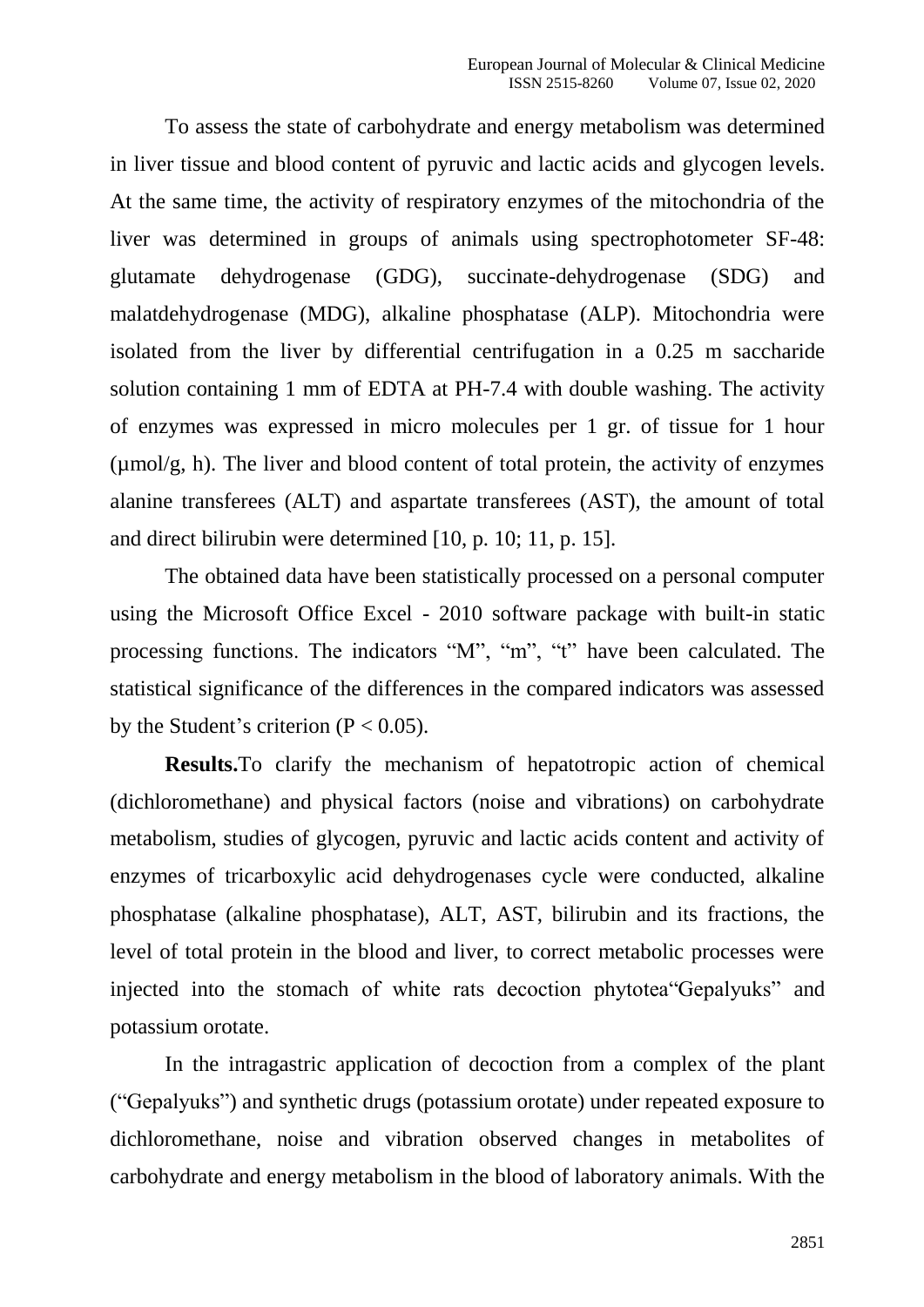To assess the state of carbohydrate and energy metabolism was determined in liver tissue and blood content of pyruvic and lactic acids and glycogen levels. At the same time, the activity of respiratory enzymes of the mitochondria of the liver was determined in groups of animals using spectrophotometer SF-48: glutamate dehydrogenase (GDG), succinate-dehydrogenase (SDG) and malatdehydrogenase (MDG), alkaline phosphatase (ALP). Mitochondria were isolated from the liver by differential centrifugation in a 0.25 m saccharide solution containing 1 mm of EDTA at PH-7.4 with double washing. The activity of enzymes was expressed in micro molecules per 1 gr. of tissue for 1 hour (µmol/g, h). The liver and blood content of total protein, the activity of enzymes alanine transferees (ALT) and aspartate transferees (AST), the amount of total and direct bilirubin were determined [10, p. 10; 11, p. 15].

The obtained data have been statistically processed on a personal computer using the Microsoft Office Excel - 2010 software package with built-in static processing functions. The indicators "M", "m", "t" have been calculated. The statistical significance of the differences in the compared indicators was assessed by the Student's criterion  $(P < 0.05)$ .

**Results.**To clarify the mechanism of hepatotropic action of chemical (dichloromethane) and physical factors (noise and vibrations) on carbohydrate metabolism, studies of glycogen, pyruvic and lactic acids content and activity of enzymes of tricarboxylic acid dehydrogenases cycle were conducted, alkaline phosphatase (alkaline phosphatase), ALT, AST, bilirubin and its fractions, the level of total protein in the blood and liver, to correct metabolic processes were injected into the stomach of white rats decoction phytotea"Gepalyuks" and potassium orotate.

In the intragastric application of decoction from a complex of the plant ("Gepalyuks") and synthetic drugs (potassium orotate) under repeated exposure to dichloromethane, noise and vibration observed changes in metabolites of carbohydrate and energy metabolism in the blood of laboratory animals. With the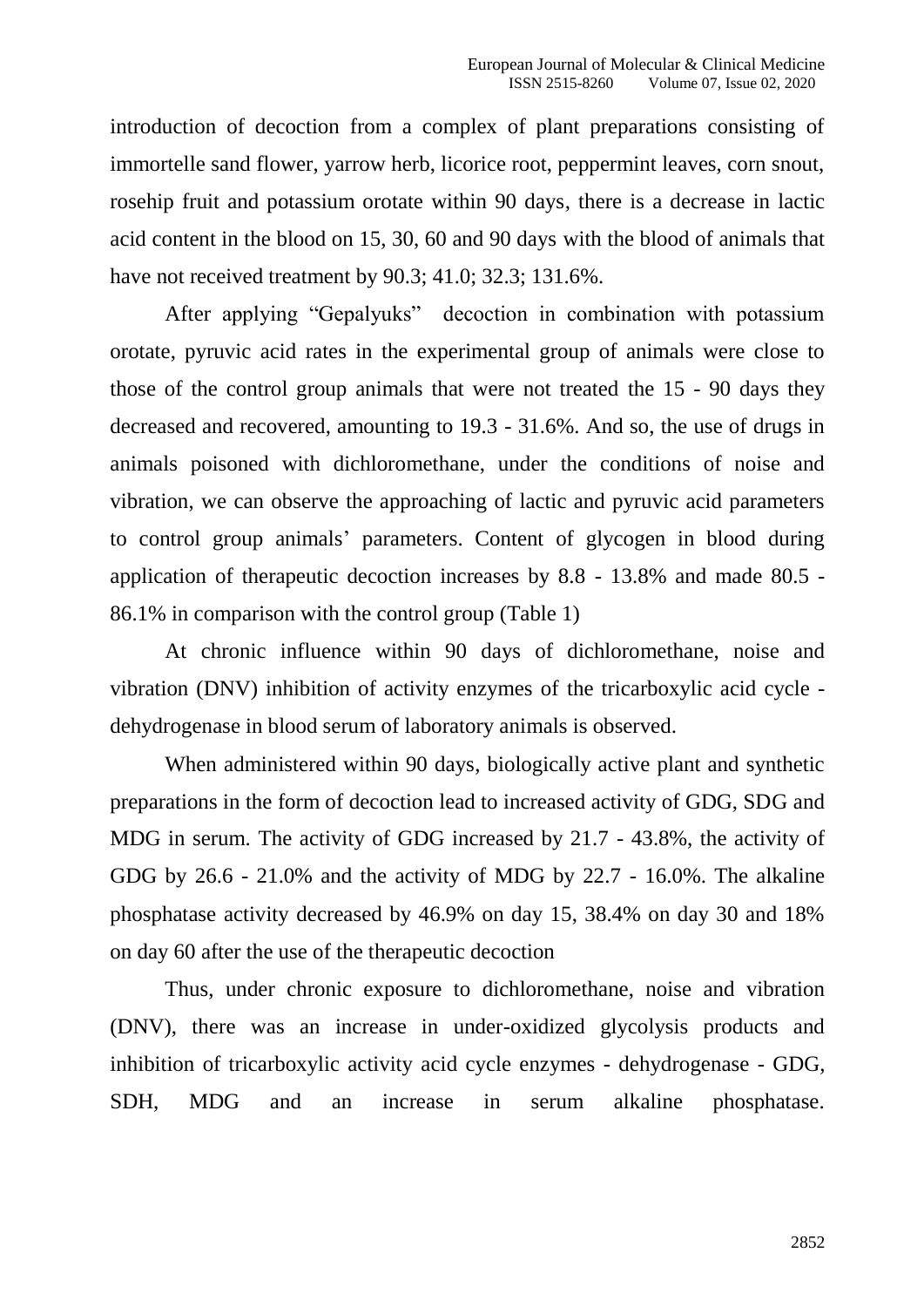introduction of decoction from a complex of plant preparations consisting of immortelle sand flower, yarrow herb, licorice root, peppermint leaves, corn snout, rosehip fruit and potassium orotate within 90 days, there is a decrease in lactic acid content in the blood on 15, 30, 60 and 90 days with the blood of animals that have not received treatment by 90.3; 41.0; 32.3; 131.6%.

After applying "Gepalyuks" decoction in combination with potassium orotate, pyruvic acid rates in the experimental group of animals were close to those of the control group animals that were not treated the 15 - 90 days they decreased and recovered, amounting to 19.3 - 31.6%. And so, the use of drugs in animals poisoned with dichloromethane, under the conditions of noise and vibration, we can observe the approaching of lactic and pyruvic acid parameters to control group animals' parameters. Content of glycogen in blood during application of therapeutic decoction increases by 8.8 - 13.8% and made 80.5 - 86.1% in comparison with the control group (Table 1)

At chronic influence within 90 days of dichloromethane, noise and vibration (DNV) inhibition of activity enzymes of the tricarboxylic acid cycle dehydrogenase in blood serum of laboratory animals is observed.

When administered within 90 days, biologically active plant and synthetic preparations in the form of decoction lead to increased activity of GDG, SDG and MDG in serum. The activity of GDG increased by 21.7 - 43.8%, the activity of GDG by 26.6 - 21.0% and the activity of MDG by 22.7 - 16.0%. The alkaline phosphatase activity decreased by 46.9% on day 15, 38.4% on day 30 and 18% on day 60 after the use of the therapeutic decoction

Thus, under chronic exposure to dichloromethane, noise and vibration (DNV), there was an increase in under-oxidized glycolysis products and inhibition of tricarboxylic activity acid cycle enzymes - dehydrogenase - GDG, SDH, MDG and an increase in serum alkaline phosphatase.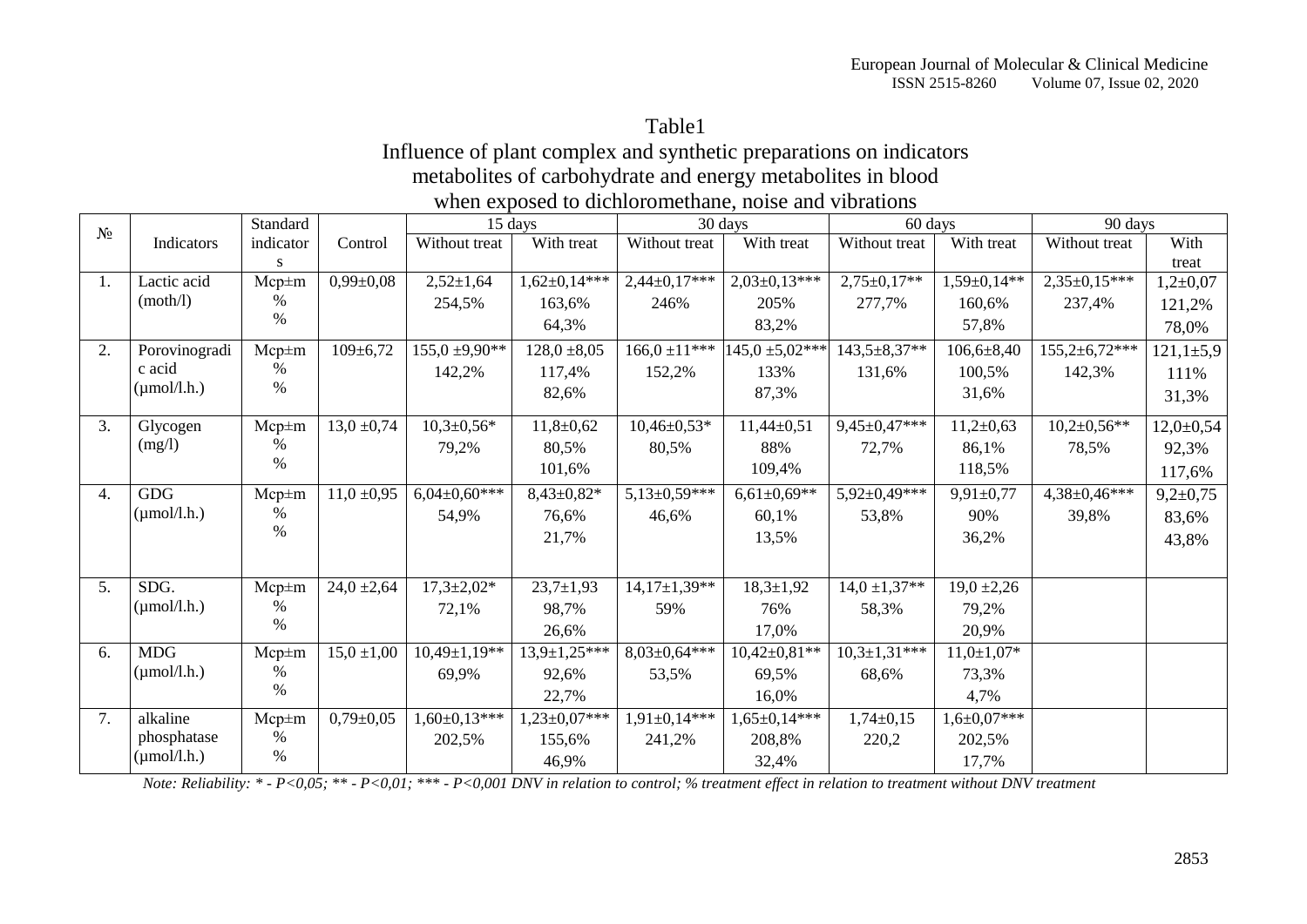## Table1

## Influence of plant complex and synthetic preparations on indicators metabolites of carbohydrate and energy metabolites in blood when exposed to dichloromethane, noise and vibrations

| $N_2$ |                         | Standard      |                 | 15 days            |                     | 30 days           |                     | 60 days             |                    | 90 days             |                 |
|-------|-------------------------|---------------|-----------------|--------------------|---------------------|-------------------|---------------------|---------------------|--------------------|---------------------|-----------------|
|       | Indicators              | indicator     | Control         | Without treat      | With treat          | Without treat     | With treat          | Without treat       | With treat         | Without treat       | With            |
|       |                         | S             |                 |                    |                     |                   |                     |                     |                    |                     | treat           |
| 1.    | Lactic acid             | $Mcp \pm m$   | $0,99 \pm 0,08$ | $2,52 \pm 1,64$    | $1,62\pm0,14***$    | $2,44\pm0,17***$  | $2,03\pm0,13***$    | $2,75 \pm 0,17**$   | $1,59 \pm 0,14**$  | $2,35\pm0,15***$    | $1,2{\pm}0,07$  |
|       | (moth/l)                | %             |                 | 254,5%             | 163,6%              | 246%              | 205%                | 277,7%              | 160,6%             | 237,4%              | 121,2%          |
|       |                         | $\%$          |                 |                    | 64,3%               |                   | 83,2%               |                     | 57,8%              |                     | 78,0%           |
| 2.    | Porovinogradi           | $Mcp \pm m$   | $109 \pm 6,72$  | $155,0 \pm 9,90**$ | $128,0 \pm 8,05$    | $166.0 \pm 11***$ | $145,0 \pm 5,02***$ | 143,5±8,37**        | $106,6 \pm 8,40$   | $155,2{\pm}6,72***$ | $121,1 \pm 5,9$ |
|       | c acid                  | $\%$          |                 | 142,2%             | 117,4%              | 152,2%            | 133%                | 131,6%              | 100,5%             | 142,3%              | 111%            |
|       | $(\mu \text{mol/l.h.})$ | $\%$          |                 |                    | 82,6%               |                   | 87,3%               |                     | 31,6%              |                     | 31,3%           |
| 3.    | Glycogen                | $Mcp \pm m$   | $13,0 \pm 0.74$ | $10,3 \pm 0,56*$   | $11,8+0,62$         | $10,46\pm0,53*$   | $11,44\pm0,51$      | $9,45\pm0,47$ ***   | $11,2+0,63$        | $10,2{\pm}0,56**$   | $12,0 \pm 0,54$ |
|       | (mg/l)                  | $\%$          |                 | 79,2%              | 80,5%               | 80,5%             | 88%                 | 72,7%               | 86,1%              | 78,5%               | 92,3%           |
|       |                         | $\%$          |                 |                    | 101,6%              |                   | 109,4%              |                     | 118,5%             |                     | 117,6%          |
| 4.    | <b>GDG</b>              | $Mcp \pm m$   | $11,0 \pm 0.95$ | $6,04\pm0,60***$   | $8,43\pm0,82*$      | $5,13\pm0,59***$  | $6,61\pm0,69**$     | $5,92 \pm 0,49$ *** | $9,91 \pm 0,77$    | 4,38±0,46***        | $9,2{\pm}0,75$  |
|       | $(\mu \text{mol/l.h.})$ | %             |                 | 54,9%              | 76,6%               | 46,6%             | 60,1%               | 53,8%               | 90%                | 39,8%               | 83,6%           |
|       |                         | $\frac{0}{0}$ |                 |                    | 21,7%               |                   | 13,5%               |                     | 36,2%              |                     | 43,8%           |
|       |                         |               |                 |                    |                     |                   |                     |                     |                    |                     |                 |
| 5.    | SDG.                    | $Mcp \pm m$   | $24,0 \pm 2,64$ | $17,3 \pm 2,02*$   | $23,7 \pm 1,93$     | $14,17\pm1,39**$  | $18,3 \pm 1,92$     | $14,0 \pm 1,37**$   | $19,0 \pm 2,26$    |                     |                 |
|       | $(\mu \text{mol/l.h.})$ | %             |                 | 72,1%              | 98,7%               | 59%               | 76%                 | 58,3%               | 79,2%              |                     |                 |
|       |                         | $\%$          |                 |                    | 26,6%               |                   | 17,0%               |                     | 20,9%              |                     |                 |
| 6.    | <b>MDG</b>              | $Mcp \pm m$   | $15,0 \pm 1,00$ | $10,49\pm1,19**$   | $13,9 \pm 1,25$ *** | $8,03\pm0,64***$  | $10,42\pm0,81**$    | $10,3{\pm}1,31***$  | $11,0{\pm}1,07*$   |                     |                 |
|       | $(\mu \text{mol/l.h.})$ | %             |                 | 69,9%              | 92,6%               | 53,5%             | 69,5%               | 68,6%               | 73,3%              |                     |                 |
|       |                         | $\%$          |                 |                    | 22,7%               |                   | 16,0%               |                     | 4,7%               |                     |                 |
| 7.    | alkaline                | $Mcp \pm m$   | $0,79 \pm 0,05$ | $1,60\pm0,13***$   | $1,23\pm0,07***$    | $1,91\pm0,14***$  | $1,65 \pm 0,14$ *** | $1,74\pm0,15$       | $1,6 \pm 0,07$ *** |                     |                 |
|       | phosphatase             | $\%$          |                 | 202,5%             | 155,6%              | 241,2%            | 208,8%              | 220,2               | 202,5%             |                     |                 |
|       | $(\mu$ mol/l.h.)        | $\%$          |                 |                    | 46,9%               |                   | 32,4%               |                     | 17,7%              |                     |                 |

*Note: Reliability: \* - P<0,05; \*\* - P<0,01; \*\*\* - P<0,001 DNV in relation to control; % treatment effect in relation to treatment without DNV treatment*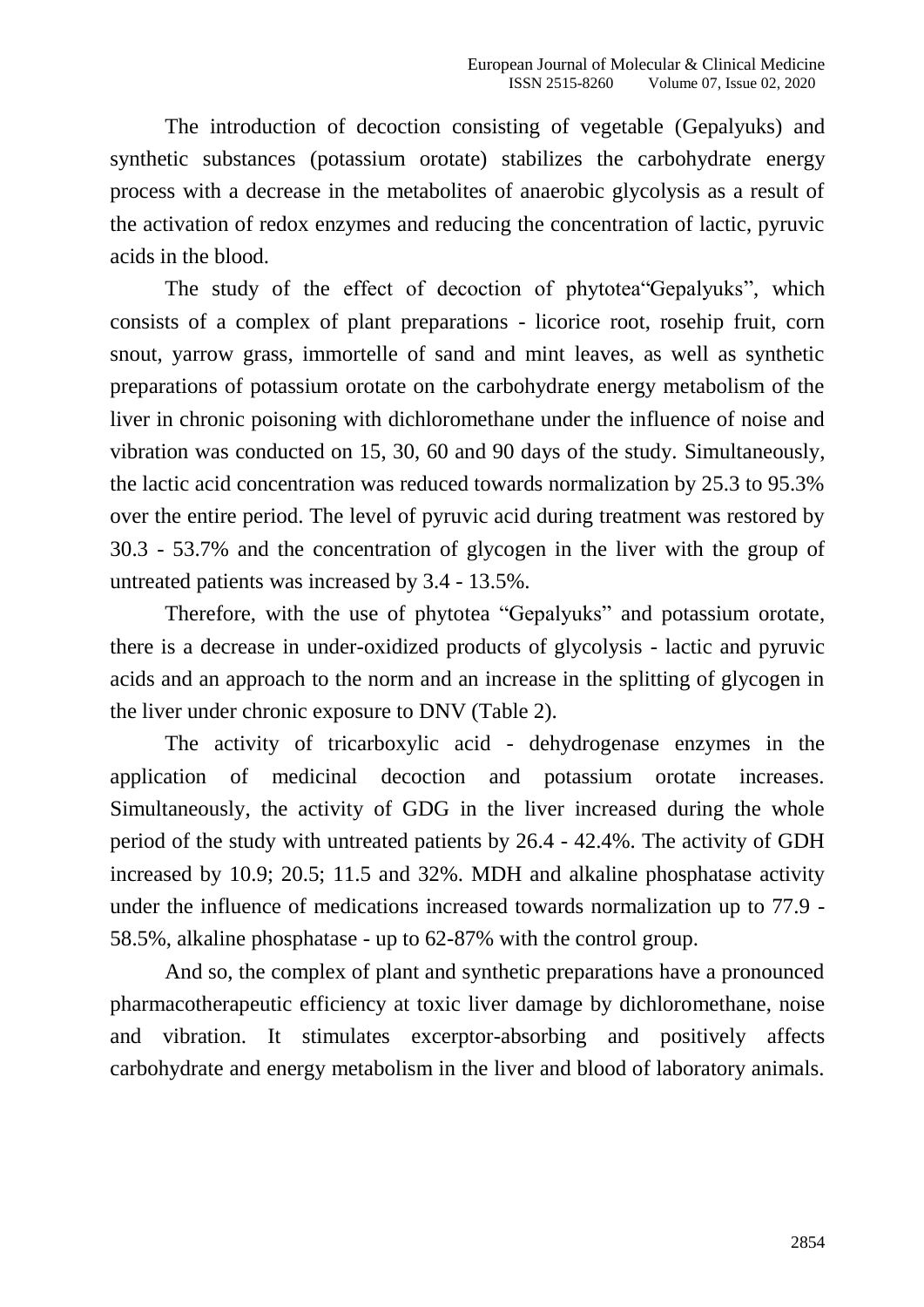The introduction of decoction consisting of vegetable (Gepalyuks) and synthetic substances (potassium orotate) stabilizes the carbohydrate energy process with a decrease in the metabolites of anaerobic glycolysis as a result of the activation of redox enzymes and reducing the concentration of lactic, pyruvic acids in the blood.

The study of the effect of decoction of phytotea"Gepalyuks", which consists of a complex of plant preparations - licorice root, rosehip fruit, corn snout, yarrow grass, immortelle of sand and mint leaves, as well as synthetic preparations of potassium orotate on the carbohydrate energy metabolism of the liver in chronic poisoning with dichloromethane under the influence of noise and vibration was conducted on 15, 30, 60 and 90 days of the study. Simultaneously, the lactic acid concentration was reduced towards normalization by 25.3 to 95.3% over the entire period. The level of pyruvic acid during treatment was restored by 30.3 - 53.7% and the concentration of glycogen in the liver with the group of untreated patients was increased by 3.4 - 13.5%.

Therefore, with the use of phytotea "Gepalyuks" and potassium orotate, there is a decrease in under-oxidized products of glycolysis - lactic and pyruvic acids and an approach to the norm and an increase in the splitting of glycogen in the liver under chronic exposure to DNV (Table 2).

The activity of tricarboxylic acid - dehydrogenase enzymes in the application of medicinal decoction and potassium orotate increases. Simultaneously, the activity of GDG in the liver increased during the whole period of the study with untreated patients by 26.4 - 42.4%. The activity of GDH increased by 10.9; 20.5; 11.5 and 32%. MDH and alkaline phosphatase activity under the influence of medications increased towards normalization up to 77.9 - 58.5%, alkaline phosphatase - up to 62-87% with the control group.

And so, the complex of plant and synthetic preparations have a pronounced pharmacotherapeutic efficiency at toxic liver damage by dichloromethane, noise and vibration. It stimulates excerptor-absorbing and positively affects carbohydrate and energy metabolism in the liver and blood of laboratory animals.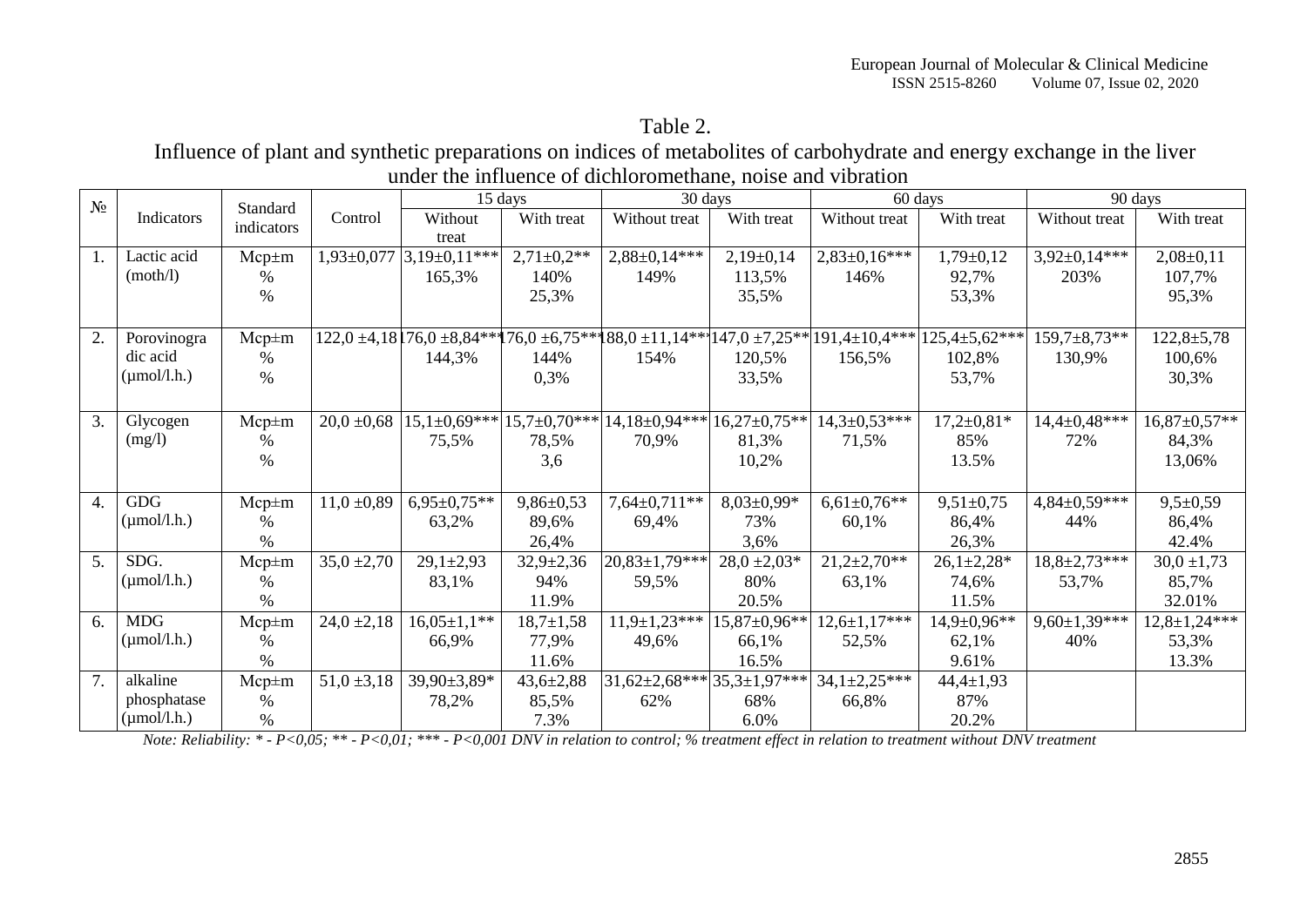## Table 2.

Influence of plant and synthetic preparations on indices of metabolites of carbohydrate and energy exchange in the liver under the influence of dichloromethane, noise and vibration

| $N_2$            | Indicators              | Standard<br>indicators |                 |                         | 15 days         | 30 days                            |                  |                                                                                                                     | 60 days            | 90 days             |                     |
|------------------|-------------------------|------------------------|-----------------|-------------------------|-----------------|------------------------------------|------------------|---------------------------------------------------------------------------------------------------------------------|--------------------|---------------------|---------------------|
|                  |                         |                        | Control         | Without                 | With treat      | Without treat                      | With treat       | Without treat                                                                                                       | With treat         | Without treat       | With treat          |
|                  |                         |                        |                 | treat                   |                 |                                    |                  |                                                                                                                     |                    |                     |                     |
| 1.               | Lactic acid             | $Mcp \pm m$            |                 | 1,93±0,077 3,19±0,11*** | $2,71\pm0,2**$  | $2,88 \pm 0,14$ ***                | $2,19\pm0,14$    | $2,83\pm0,16***$                                                                                                    | $1,79 \pm 0,12$    | $3,92\pm0,14***$    | $2,08 \pm 0,11$     |
|                  | (moth/l)                | $\%$                   |                 | 165,3%                  | 140%            | 149%                               | 113,5%           | 146%                                                                                                                | 92,7%              | 203%                | 107,7%              |
|                  |                         | $\%$                   |                 |                         | 25,3%           |                                    | 35,5%            |                                                                                                                     | 53,3%              |                     | 95,3%               |
|                  |                         |                        |                 |                         |                 |                                    |                  |                                                                                                                     |                    |                     |                     |
| 2.               | Porovinogra             | $Mcp \pm m$            |                 |                         |                 |                                    |                  | $122,0$ ±4,18 $176,0$ ±8,84*** $176,0$ ±6,75*** $188,0$ ±11,14*** $147,0$ ±7,25** $191,4$ ±10,4*** $125,4$ ±5,62*** |                    | $159,7\pm8,73**$    | $122,8 \pm 5,78$    |
|                  | dic acid                | $\%$                   |                 | 144,3%                  | 144%            | 154%                               | 120,5%           | 156,5%                                                                                                              | 102,8%             | 130,9%              | 100,6%              |
|                  | $(\mu \text{mol/l.h.})$ | $\%$                   |                 |                         | 0,3%            |                                    | 33,5%            |                                                                                                                     | 53,7%              |                     | 30,3%               |
|                  |                         |                        |                 |                         |                 |                                    |                  |                                                                                                                     |                    |                     |                     |
| 3.               | Glycogen                | $Mcp \pm m$            | 20,0,0,68       | $15,1\pm0,69***$        |                 | $15,7\pm0,70***$ $14,18\pm0,94***$ | $16,27\pm0,75**$ | $14,3 \pm 0.53***$                                                                                                  | $17,2{\pm}0,81*$   | 14,4±0,48***        | $16,87 \pm 0.57**$  |
|                  | (mg/l)                  | %                      |                 | 75,5%                   | 78,5%           | 70,9%                              | 81,3%            | 71,5%                                                                                                               | 85%                | 72%                 | 84,3%               |
|                  |                         | $\%$                   |                 |                         | 3,6             |                                    | 10,2%            |                                                                                                                     | 13.5%              |                     | 13,06%              |
|                  |                         |                        |                 |                         |                 |                                    |                  |                                                                                                                     |                    |                     |                     |
| $\overline{4}$ . | <b>GDG</b>              | $Mcp \pm m$            | $11,0 + 0.89$   | $6,95\pm0,75**$         | $9,86 \pm 0,53$ | $7,64 \pm 0,711$ **                | $8,03\pm0,99*$   | $6,61\pm0,76**$                                                                                                     | $9,51 \pm 0.75$    | $4,84\pm0,59***$    | $9,5+0,59$          |
|                  | $(\mu \text{mol/l.h.})$ | $\%$                   |                 | 63,2%                   | 89,6%           | 69,4%                              | 73%              | 60,1%                                                                                                               | 86,4%              | 44%                 | 86,4%               |
|                  |                         | %                      |                 |                         | 26,4%           |                                    | 3,6%             |                                                                                                                     | 26,3%              |                     | 42.4%               |
| 5.               | SDG.                    | $Mcp \pm m$            | $35,0 \pm 2,70$ | $29,1 \pm 2,93$         | $32,9+2,36$     | $20,83\pm1,79***$                  | $28,0 \pm 2,03*$ | $21,2{\pm}2,70**$                                                                                                   | $26,1+2,28*$       | $18,8 \pm 2,73$ *** | $30,0 \pm 1,73$     |
|                  | $(\mu \text{mol/l.h.})$ | $\%$                   |                 | 83,1%                   | 94%             | 59,5%                              | 80%              | 63,1%                                                                                                               | 74,6%              | 53,7%               | 85,7%               |
|                  |                         | $\%$                   |                 |                         | 11.9%           |                                    | 20.5%            |                                                                                                                     | 11.5%              |                     | 32.01%              |
| 6.               | <b>MDG</b>              | $Mcp \pm m$            | $24,0 \pm 2,18$ | $16,05\pm1,1**$         | $18,7 \pm 1,58$ | $11,9\pm1,23***$                   | 15,87±0,96**     | $12,6 \pm 1,17$ ***                                                                                                 | $14,9 \pm 0,96$ ** | $9,60 \pm 1,39$ *** | $12,8 \pm 1,24$ *** |
|                  | $(\mu \text{mol/l.h.})$ | $\%$                   |                 | 66,9%                   | 77,9%           | 49,6%                              | 66,1%            | 52,5%                                                                                                               | 62,1%              | 40%                 | 53,3%               |
|                  |                         | $\%$                   |                 |                         | 11.6%           |                                    | 16.5%            |                                                                                                                     | 9.61%              |                     | 13.3%               |
| 7.               | alkaline                | $Mcp \pm m$            | $51,0 \pm 3,18$ | 39,90±3,89*             | $43,6 \pm 2,88$ | $ 31,62\pm2,68*** 35,3\pm1,97*** $ |                  | $34,1\pm2,25***$                                                                                                    | $44,4 \pm 1,93$    |                     |                     |
|                  | phosphatase             | $\%$                   |                 | 78,2%                   | 85,5%           | 62%                                | 68%              | 66,8%                                                                                                               | 87%                |                     |                     |
|                  | $(\mu \text{mol/l.h.})$ | $\%$                   |                 |                         | 7.3%            |                                    | 6.0%             |                                                                                                                     | 20.2%              |                     |                     |

*Note: Reliability: \* - P<0,05; \*\* - P<0,01; \*\*\* - P<0,001 DNV in relation to control; % treatment effect in relation to treatment without DNV treatment*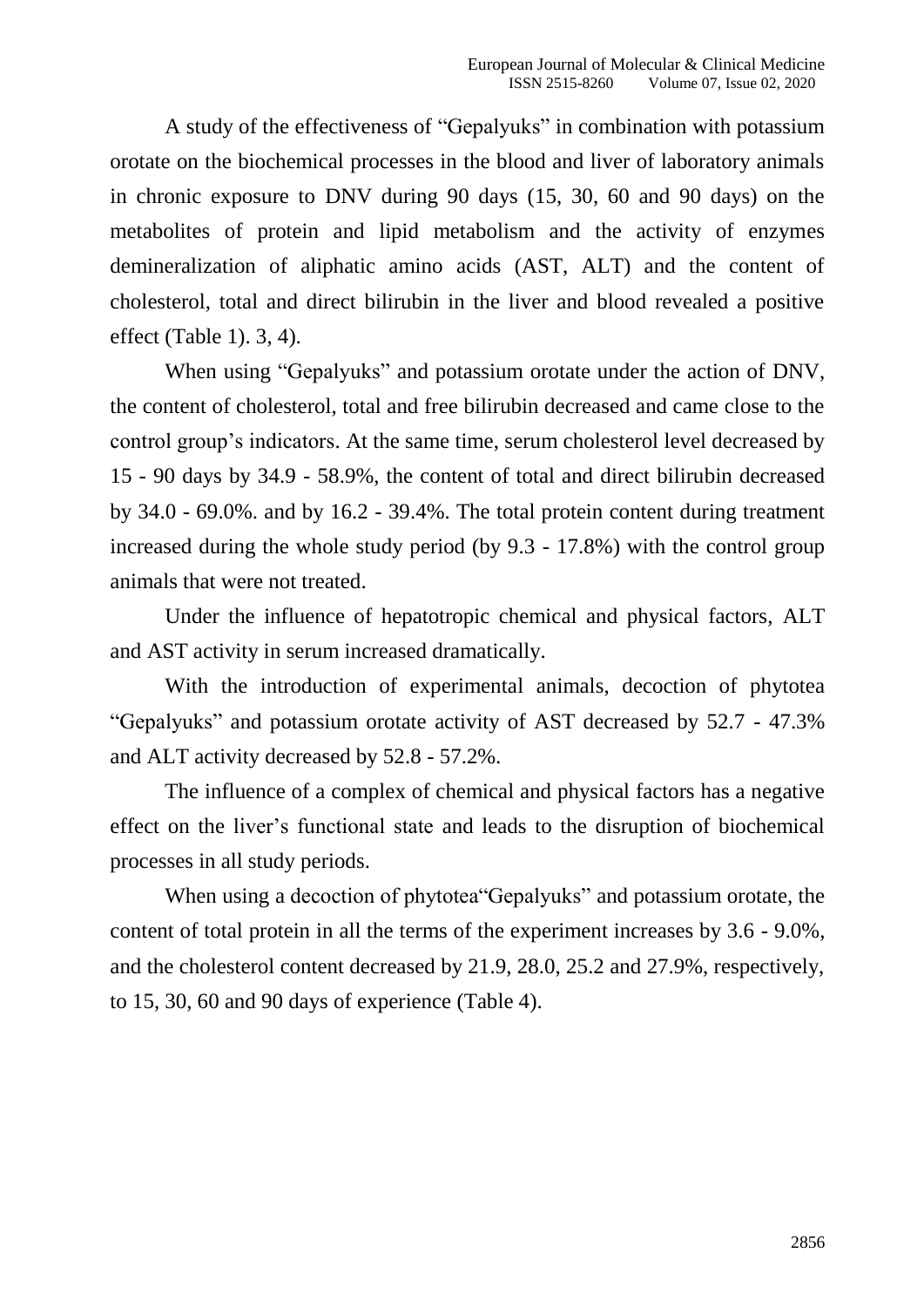A study of the effectiveness of "Gepalyuks" in combination with potassium orotate on the biochemical processes in the blood and liver of laboratory animals in chronic exposure to DNV during 90 days (15, 30, 60 and 90 days) on the metabolites of protein and lipid metabolism and the activity of enzymes demineralization of aliphatic amino acids (AST, ALT) and the content of cholesterol, total and direct bilirubin in the liver and blood revealed a positive effect (Table 1). 3, 4).

When using "Gepalyuks" and potassium orotate under the action of DNV, the content of cholesterol, total and free bilirubin decreased and came close to the control group's indicators. At the same time, serum cholesterol level decreased by 15 - 90 days by 34.9 - 58.9%, the content of total and direct bilirubin decreased by 34.0 - 69.0%. and by 16.2 - 39.4%. The total protein content during treatment increased during the whole study period (by 9.3 - 17.8%) with the control group animals that were not treated.

Under the influence of hepatotropic chemical and physical factors, ALT and AST activity in serum increased dramatically.

With the introduction of experimental animals, decoction of phytotea "Gepalyuks" and potassium orotate activity of AST decreased by 52.7 - 47.3% and ALT activity decreased by 52.8 - 57.2%.

The influence of a complex of chemical and physical factors has a negative effect on the liver's functional state and leads to the disruption of biochemical processes in all study periods.

When using a decoction of phytotea "Gepalyuks" and potassium orotate, the content of total protein in all the terms of the experiment increases by 3.6 - 9.0%, and the cholesterol content decreased by 21.9, 28.0, 25.2 and 27.9%, respectively, to 15, 30, 60 and 90 days of experience (Table 4).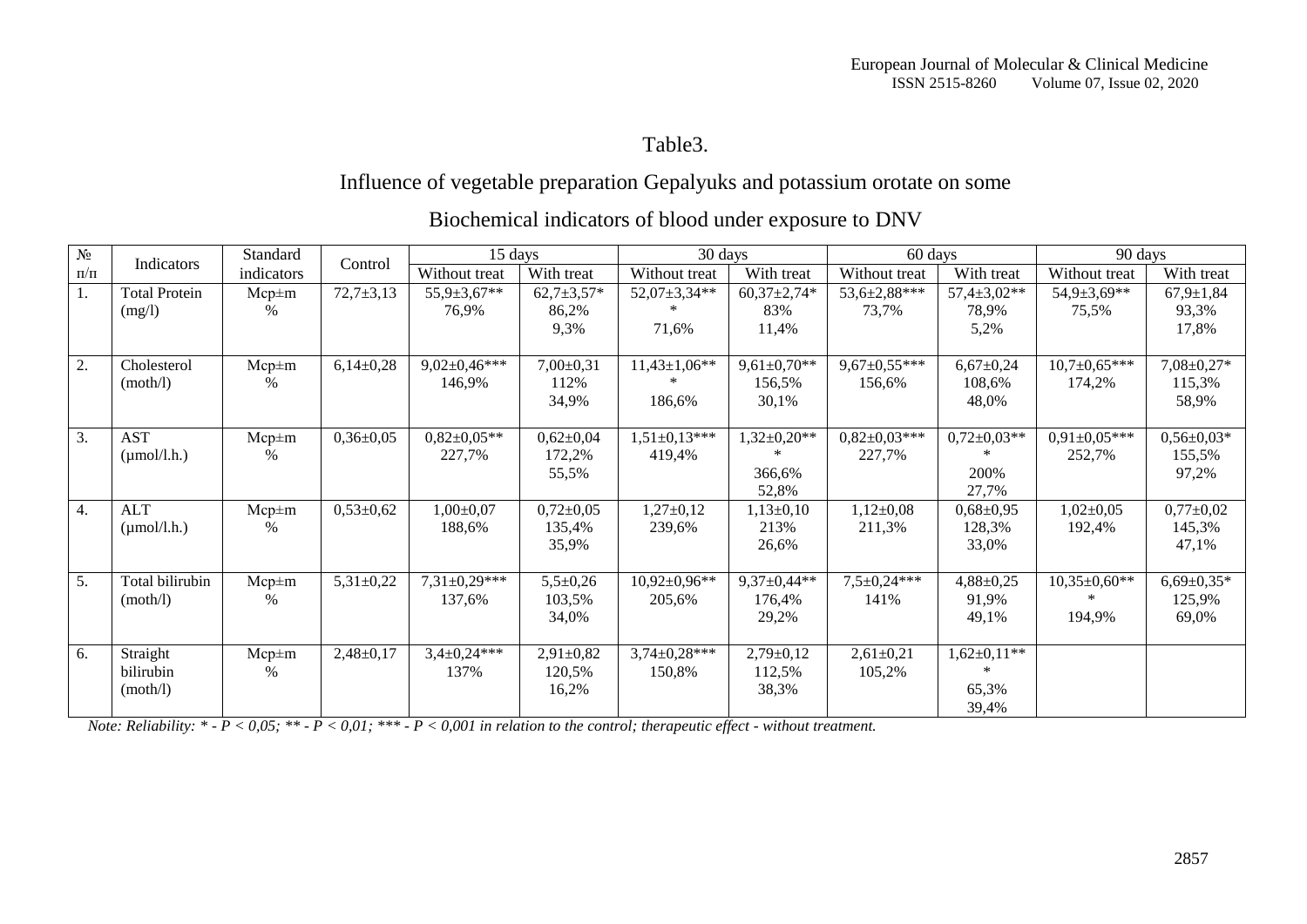# Table3.

# Influence of vegetable preparation Gepalyuks and potassium orotate on some

| $N_{\! \! \! \Omega}$ |                                       | Standard            | Control         | 15 days                     |                                    | 30 days                       |                                      | 60 days                      |                                             | 90 days                              |                                     |
|-----------------------|---------------------------------------|---------------------|-----------------|-----------------------------|------------------------------------|-------------------------------|--------------------------------------|------------------------------|---------------------------------------------|--------------------------------------|-------------------------------------|
| $\Pi/\Pi$             | Indicators                            | indicators          |                 | Without treat               | With treat                         | Without treat                 | With treat                           | Without treat                | With treat                                  | Without treat                        | With treat                          |
| 1.                    | <b>Total Protein</b><br>(mg/l)        | $Mcp \pm m$<br>%    | $72,7+3,13$     | $55,9 \pm 3,67**$<br>76,9%  | $62,7+3,57*$<br>86,2%<br>9,3%      | 52,07±3,34**<br>71,6%         | $60,37 \pm 2,74*$<br>83%<br>11,4%    | $53,6 \pm 2,88$ ***<br>73,7% | $57,4 \pm 3,02**$<br>78,9%<br>5,2%          | $54,9{\pm}3,69^{**}$<br>75,5%        | $67,9 \pm 1,84$<br>93,3%<br>17,8%   |
| 2.                    | Cholesterol<br>(moth/l)               | $Mcp \pm m$<br>%    | $6,14\pm0,28$   | $9,02\pm0,46***$<br>146,9%  | $7,00\pm0,31$<br>112%<br>34,9%     | $11,43 \pm 1,06$ **<br>186,6% | $9,61\pm0,70**$<br>156,5%<br>30,1%   | $9,67 \pm 0,55***$<br>156,6% | $6,67{\pm}0,24$<br>108,6%<br>48,0%          | $10,7{\pm}0.65***$<br>174,2%         | 7,08±0,27*<br>115,3%<br>58,9%       |
| 3.                    | <b>AST</b><br>$(\mu \text{mol/l.h.})$ | $Mcp \pm m$<br>%    | $0,36 \pm 0,05$ | $0.82 \pm 0.05**$<br>227,7% | $0,62{\pm}0,04$<br>172,2%<br>55,5% | $1,51\pm0,13***$<br>419,4%    | $1,32\pm0,20**$<br>366,6%<br>52,8%   | $0,82\pm0,03***$<br>227,7%   | $0,72{\pm}0,03**$<br>200%<br>27,7%          | $0,91\pm0,05***$<br>252,7%           | $0,56 \pm 0,03*$<br>155,5%<br>97,2% |
| 4.                    | <b>ALT</b><br>$(\mu \text{mol/l.h.})$ | $Mcp \pm m$<br>%    | $0,53{\pm}0,62$ | $1,00\pm0,07$<br>188,6%     | $0,72\pm0,05$<br>135,4%<br>35,9%   | $1,27\pm0,12$<br>239,6%       | $1,13\pm0,10$<br>213%<br>26,6%       | $1,12\pm0,08$<br>211,3%      | $0,68 \pm 0,95$<br>128,3%<br>33,0%          | $1,02\pm0,05$<br>192,4%              | $0,77+0,02$<br>145,3%<br>47,1%      |
| 5.                    | Total bilirubin<br>(moth/l)           | $Mcp \pm m$<br>$\%$ | $5,31\pm0,22$   | $7,31\pm0.29***$<br>137,6%  | $5,5+0,26$<br>103,5%<br>34,0%      | $10,92\pm0,96**$<br>205,6%    | $9,37 \pm 0,44**$<br>176,4%<br>29,2% | $7,5 \pm 0.24***$<br>141%    | $4,88 \pm 0,25$<br>91,9%<br>49,1%           | $10,35\pm0,60**$<br>$\ast$<br>194,9% | $6,69 \pm 0,35*$<br>125,9%<br>69,0% |
| 6.                    | Straight<br>bilirubin<br>(moth/l)     | $Mcp \pm m$<br>$\%$ | $2,48 \pm 0,17$ | $3,4\pm0,24***$<br>137%     | $2,91 \pm 0,82$<br>120,5%<br>16,2% | $3,74\pm0,28***$<br>150,8%    | $2,79 \pm 0,12$<br>112,5%<br>38,3%   | $2,61\pm0,21$<br>105,2%      | $1,62\pm0,11**$<br>$\ast$<br>65,3%<br>39,4% |                                      |                                     |

# Biochemical indicators of blood under exposure to DNV

*Note: Reliability: \* - P < 0,05; \*\* - P < 0,01; \*\*\* - P < 0,001 in relation to the control; therapeutic effect - without treatment.*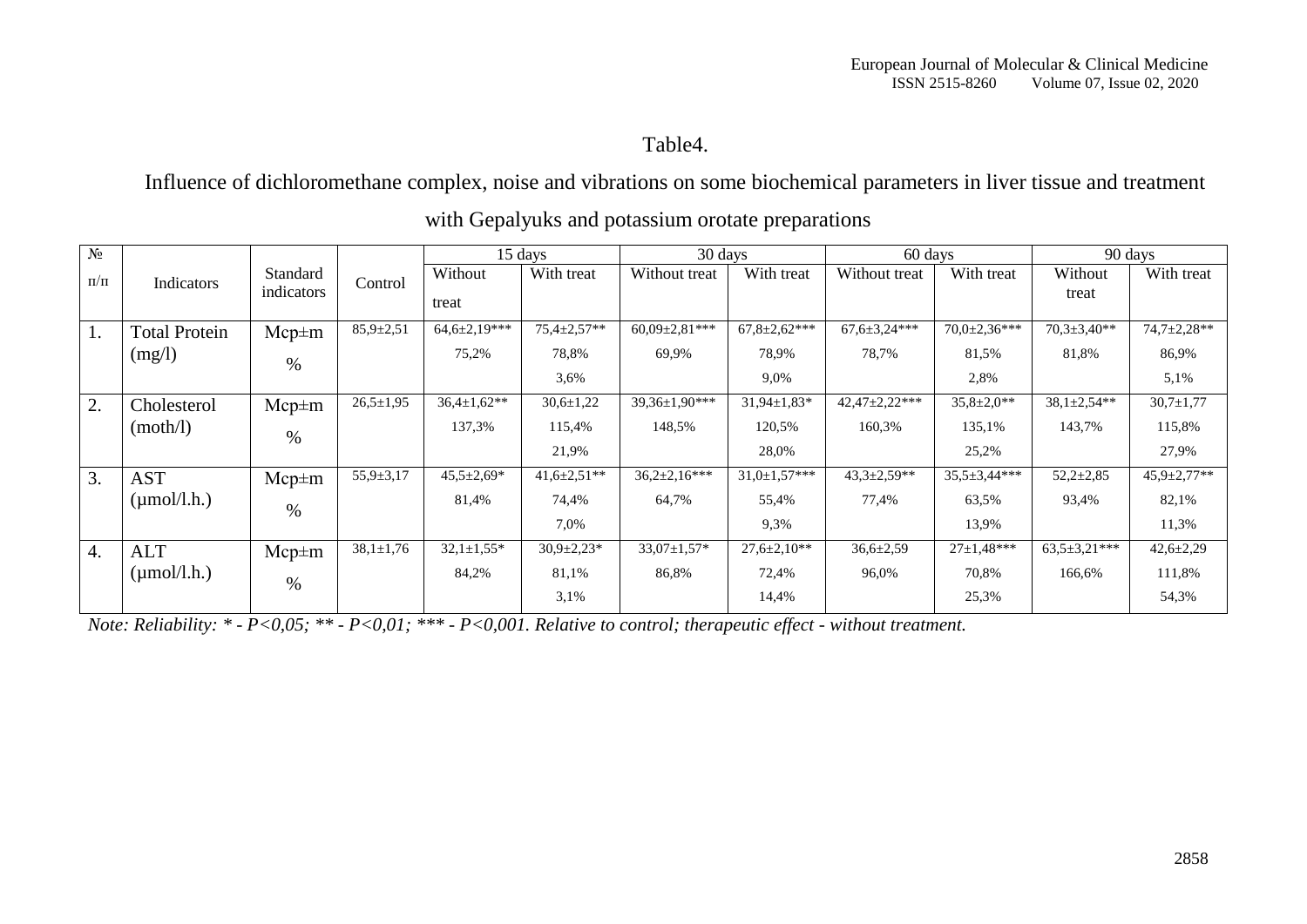Table4.

Influence of dichloromethane complex, noise and vibrations on some biochemical parameters in liver tissue and treatment

| $N_2$            |                         |             |                 | 15 days            |                    | 30 days            |                     | 60 days             |                     | 90 days             |                 |
|------------------|-------------------------|-------------|-----------------|--------------------|--------------------|--------------------|---------------------|---------------------|---------------------|---------------------|-----------------|
| $\Pi/\Pi$        | Indicators              | Standard    | Control         | Without            | With treat         | Without treat      | With treat          | Without treat       | With treat          | Without             | With treat      |
|                  |                         | indicators  |                 | treat              |                    |                    |                     |                     |                     | treat               |                 |
| 1.               | <b>Total Protein</b>    | $Mcp \pm m$ | $85.9 \pm 2.51$ | $64,6{\pm}2,19***$ | $75.4 \pm 2.57**$  | $60,09\pm2,81***$  | $67,8 \pm 2,62$ *** | $67,6 \pm 3,24$ *** | $70,0{\pm}2,36***$  | $70,3 \pm 3,40**$   | 74,7±2,28**     |
|                  | (mg/l)                  | $\%$        |                 | 75,2%              | 78,8%              | 69,9%              | 78,9%               | 78,7%               | 81,5%               | 81,8%               | 86,9%           |
|                  |                         |             |                 |                    | 3,6%               |                    | 9,0%                |                     | 2,8%                |                     | 5,1%            |
| 2.               | Cholesterol             | $Mcp \pm m$ | $26,5 \pm 1,95$ | $36.4 \pm 1.62**$  | $30,6 \pm 1,22$    | 39,36±1,90***      | $31,94 \pm 1,83*$   | 42,47±2,22***       | $35,8 \pm 2,0**$    | $38,1\pm 2,54**$    | $30,7 \pm 1,77$ |
|                  | (moth/l)                | $\%$        |                 | 137,3%             | 115,4%             | 148,5%             | 120,5%              | 160,3%              | 135,1%              | 143,7%              | 115,8%          |
|                  |                         |             |                 |                    | 21,9%              |                    | 28,0%               |                     | 25,2%               |                     | 27,9%           |
| 3.               | <b>AST</b>              | $Mcp \pm m$ | $55,9 \pm 3,17$ | $45,5 \pm 2,69*$   | $41,6 \pm 2,51$ ** | $36,2{\pm}2,16***$ | $31,0 \pm 1,57$ *** | $43,3 \pm 2,59**$   | $35,5 \pm 3,44$ *** | $52,2{\pm}2,85$     | 45,9±2,77**     |
|                  | $(\mu \text{mol/l.h.})$ | $\%$        |                 | 81,4%              | 74,4%              | 64,7%              | 55,4%               | 77,4%               | 63,5%               | 93,4%               | 82,1%           |
|                  |                         |             |                 |                    | 7,0%               |                    | 9,3%                |                     | 13,9%               |                     | 11,3%           |
| $\overline{4}$ . | <b>ALT</b>              | $Mcp \pm m$ | $38,1 \pm 1,76$ | $32,1 \pm 1,55*$   | $30,9{\pm}2,23*$   | $33,07 \pm 1,57$ * | $27.6 \pm 2.10**$   | $36,6{\pm}2,59$     | $27 \pm 1.48***$    | $63.5 \pm 3.21$ *** | $42,6 \pm 2,29$ |
|                  | $(\mu \text{mol/l.h.})$ | $\%$        |                 | 84,2%              | 81,1%              | 86,8%              | 72,4%               | 96,0%               | 70,8%               | 166,6%              | 111,8%          |
|                  |                         |             |                 |                    | 3,1%               |                    | 14,4%               |                     | 25,3%               |                     | 54,3%           |

with Gepalyuks and potassium orotate preparations

*Note: Reliability: \* - P<0,05; \*\* - P<0,01; \*\*\* - P<0,001. Relative to control; therapeutic effect - without treatment.*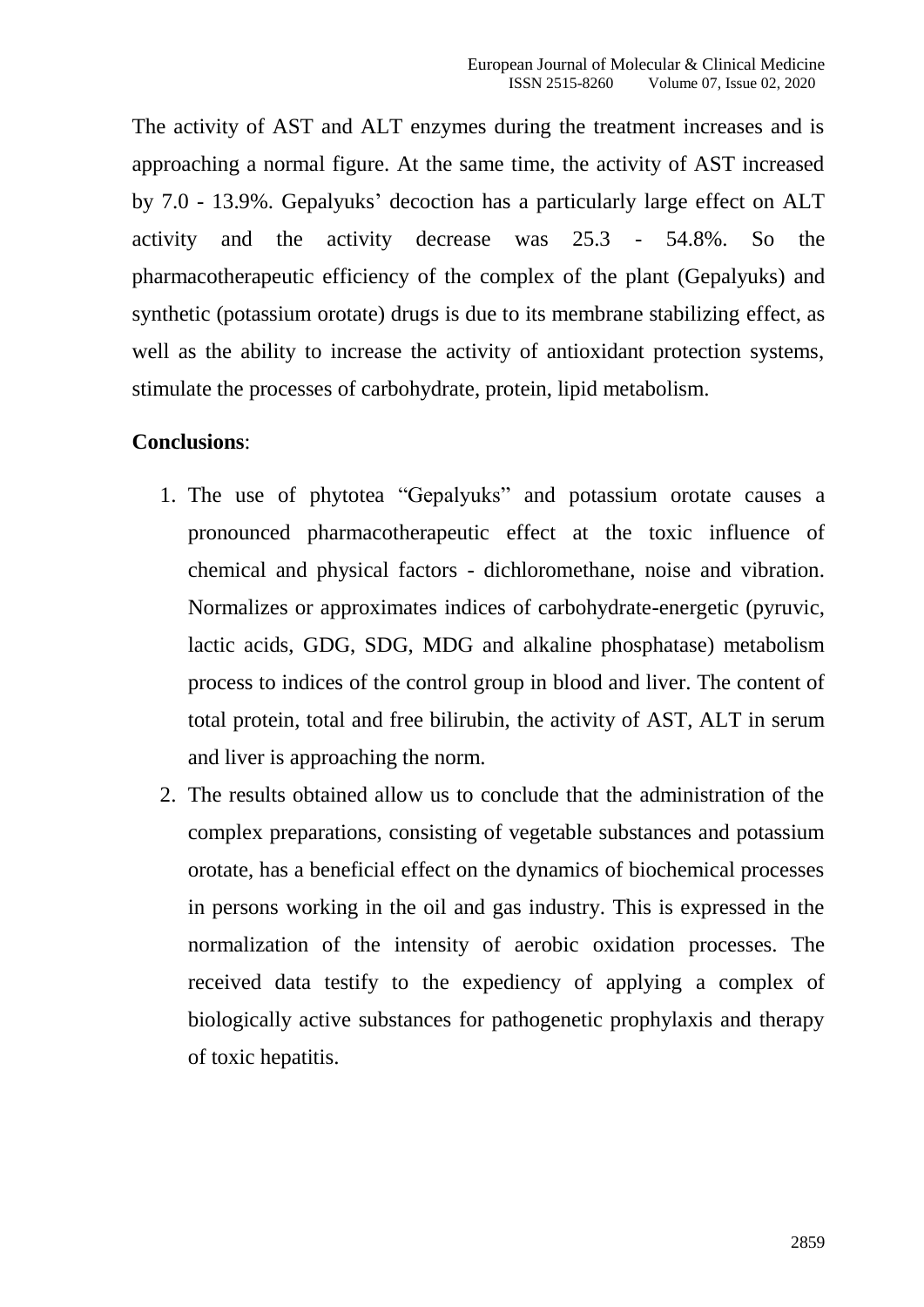The activity of AST and ALT enzymes during the treatment increases and is approaching a normal figure. At the same time, the activity of AST increased by 7.0 - 13.9%. Gepalyuks' decoction has a particularly large effect on ALT activity and the activity decrease was 25.3 - 54.8%. So the pharmacotherapeutic efficiency of the complex of the plant (Gepalyuks) and synthetic (potassium orotate) drugs is due to its membrane stabilizing effect, as well as the ability to increase the activity of antioxidant protection systems, stimulate the processes of carbohydrate, protein, lipid metabolism.

#### **Conclusions**:

- 1. The use of phytotea "Gepalyuks" and potassium orotate causes a pronounced pharmacotherapeutic effect at the toxic influence of chemical and physical factors - dichloromethane, noise and vibration. Normalizes or approximates indices of carbohydrate-energetic (pyruvic, lactic acids, GDG, SDG, MDG and alkaline phosphatase) metabolism process to indices of the control group in blood and liver. The content of total protein, total and free bilirubin, the activity of AST, ALT in serum and liver is approaching the norm.
- 2. The results obtained allow us to conclude that the administration of the complex preparations, consisting of vegetable substances and potassium orotate, has a beneficial effect on the dynamics of biochemical processes in persons working in the oil and gas industry. This is expressed in the normalization of the intensity of aerobic oxidation processes. The received data testify to the expediency of applying a complex of biologically active substances for pathogenetic prophylaxis and therapy of toxic hepatitis.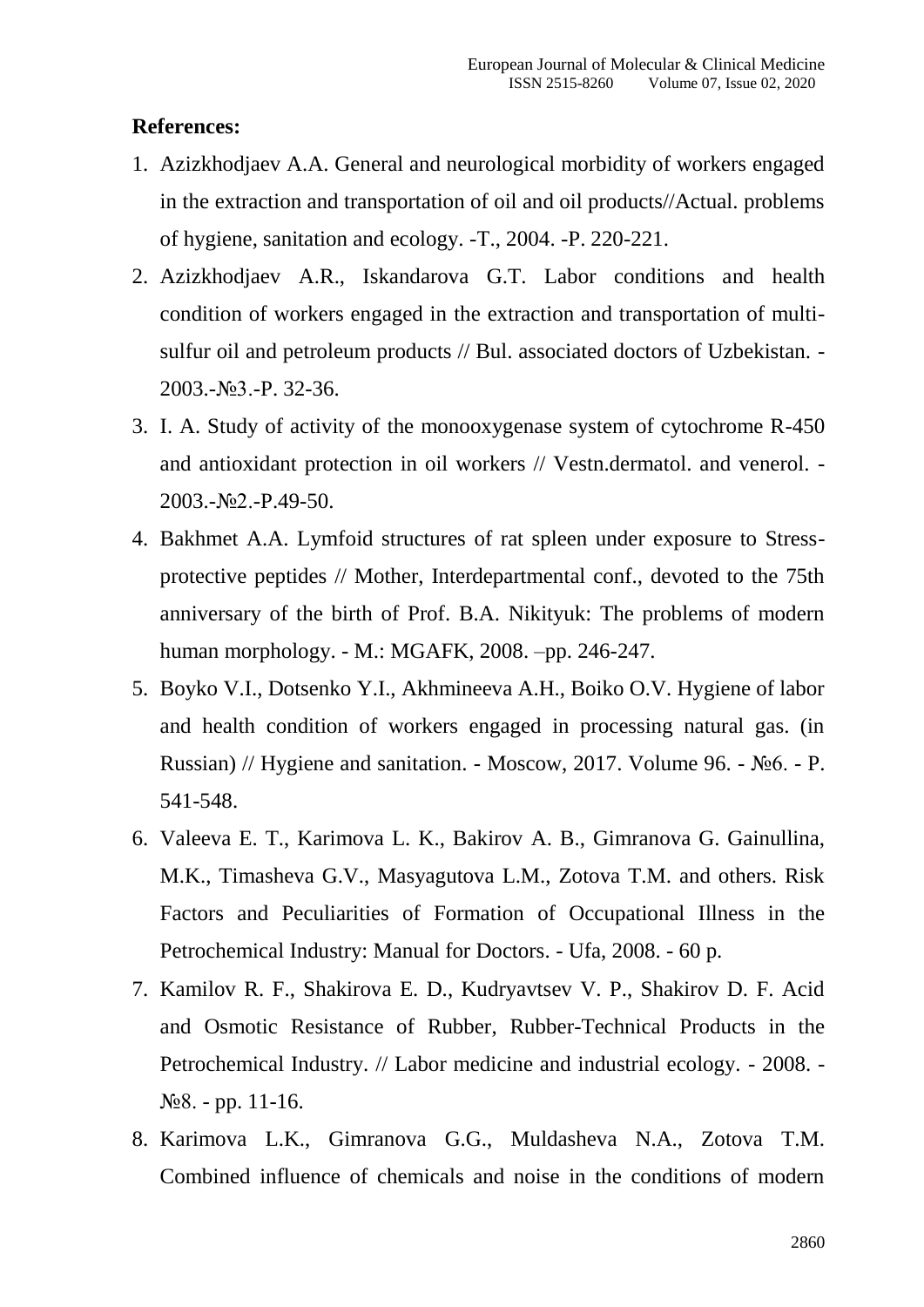### **References:**

- 1. Azizkhodjaev A.A. General and neurological morbidity of workers engaged in the extraction and transportation of oil and oil products//Actual. problems of hygiene, sanitation and ecology. -Т., 2004. -P. 220-221.
- 2. Azizkhodjaev A.R., Iskandarova G.T. Labor conditions and health condition of workers engaged in the extraction and transportation of multisulfur oil and petroleum products // Bul. associated doctors of Uzbekistan. -2003.-№3.-P. 32-36.
- 3. I. A. Study of activity of the monooxygenase system of cytochrome R-450 and antioxidant protection in oil workers // Vestn.dermatol. and venerol. - 2003.-№2.-P.49-50.
- 4. Bakhmet A.A. Lymfoid structures of rat spleen under exposure to Stressprotective peptides // Mother, Interdepartmental conf., devoted to the 75th anniversary of the birth of Prof. B.A. Nikityuk: The problems of modern human morphology. - M.: MGAFK, 2008. –pp. 246-247.
- 5. Boyko V.I., Dotsenko Y.I., Akhmineeva A.H., Boiko O.V. Hygiene of labor and health condition of workers engaged in processing natural gas. (in Russian) // Hygiene and sanitation. - Moscow, 2017. Volume 96. - №6. - P. 541-548.
- 6. Valeeva E. T., Karimova L. K., Bakirov A. B., Gimranova G. Gainullina, M.K., Timasheva G.V., Masyagutova L.M., Zotova T.M. and others. Risk Factors and Peculiarities of Formation of Occupational Illness in the Petrochemical Industry: Manual for Doctors. - Ufa, 2008. - 60 p.
- 7. Kamilov R. F., Shakirova E. D., Kudryavtsev V. P., Shakirov D. F. Acid and Osmotic Resistance of Rubber, Rubber-Technical Products in the Petrochemical Industry. // Labor medicine and industrial ecology. - 2008. - №8. - pp. 11-16.
- 8. Karimova L.K., Gimranova G.G., Muldasheva N.A., Zotova T.M. Combined influence of chemicals and noise in the conditions of modern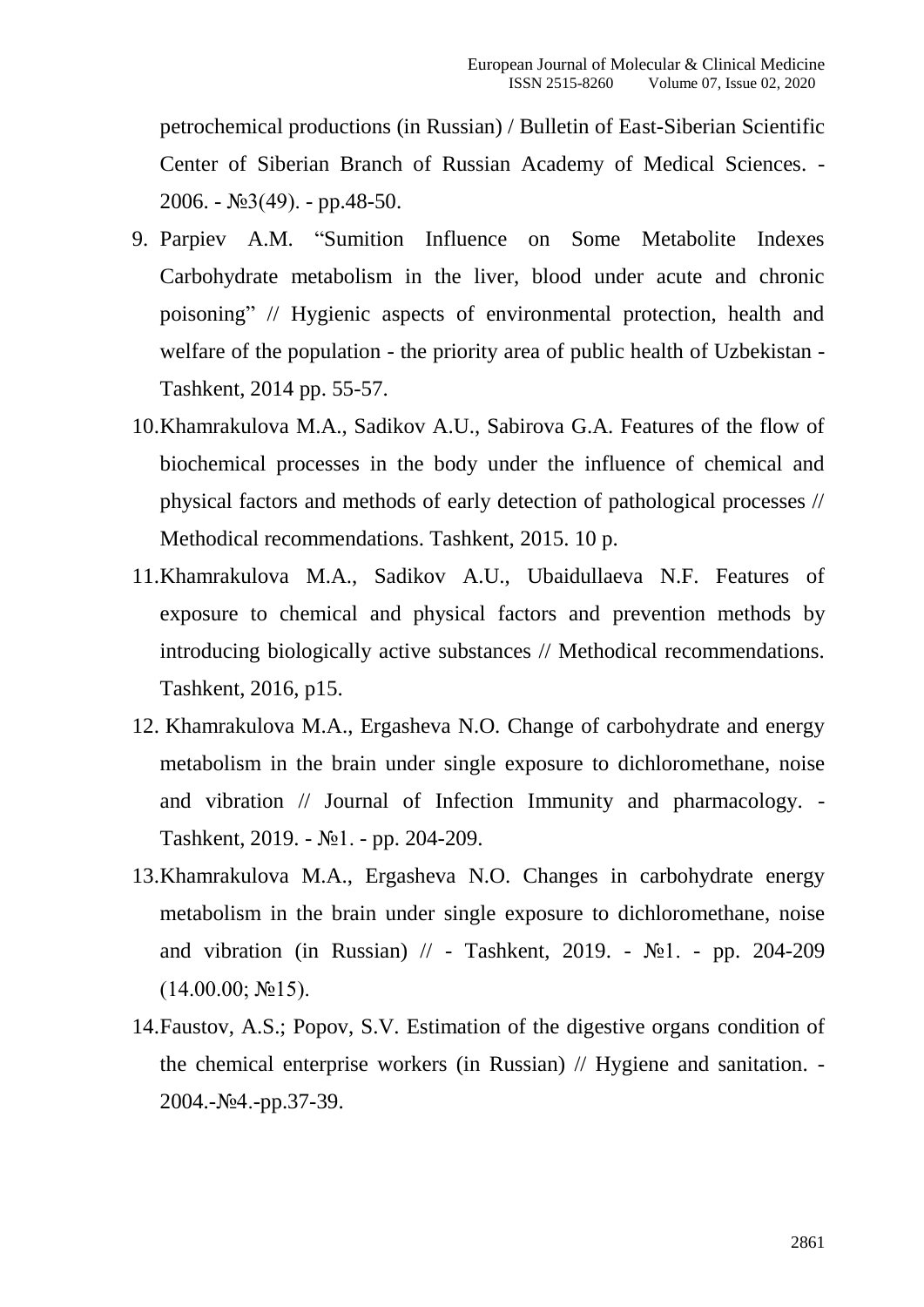petrochemical productions (in Russian) / Bulletin of East-Siberian Scientific Center of Siberian Branch of Russian Academy of Medical Sciences. - 2006. - №3(49). - pp.48-50.

- 9. Parpiev A.M. "Sumition Influence on Some Metabolite Indexes Carbohydrate metabolism in the liver, blood under acute and chronic poisoning" // Hygienic aspects of environmental protection, health and welfare of the population - the priority area of public health of Uzbekistan - Tashkent, 2014 pp. 55-57.
- 10.Khamrakulova M.A., Sadikov A.U., Sabirova G.A. Features of the flow of biochemical processes in the body under the influence of chemical and physical factors and methods of early detection of pathological processes // Methodical recommendations. Tashkent, 2015. 10 p.
- 11.Khamrakulova M.A., Sadikov A.U., Ubaidullaeva N.F. Features of exposure to chemical and physical factors and prevention methods by introducing biologically active substances // Methodical recommendations. Tashkent, 2016, p15.
- 12. Khamrakulova M.A., Ergasheva N.O. Change of carbohydrate and energy metabolism in the brain under single exposure to dichloromethane, noise and vibration // Journal of Infection Immunity and pharmacology. - Tashkent, 2019. - №1. - pp. 204-209.
- 13.Khamrakulova M.A., Ergasheva N.O. Changes in carbohydrate energy metabolism in the brain under single exposure to dichloromethane, noise and vibration (in Russian)  $\pi$  - Tashkent, 2019. - №1. - pp. 204-209  $(14.00.00; N<sub>2</sub>15).$
- 14.Faustov, A.S.; Popov, S.V. Estimation of the digestive organs condition of the chemical enterprise workers (in Russian) // Hygiene and sanitation. - 2004.-№4.-pp.37-39.